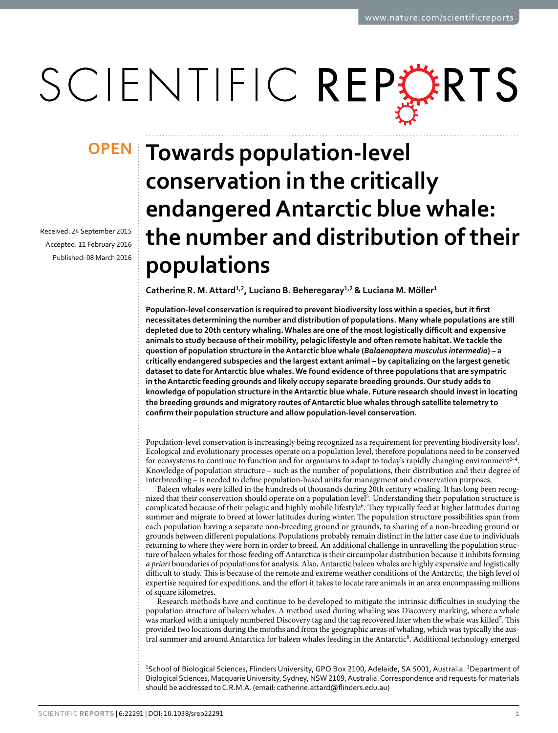# SCIENTIFIC REPERTS

Received: 24 September 2015 accepted: 11 February 2016 Published: 08 March 2016

## **OPEN** Towards population-level **conservation in the critically endangered Antarctic blue whale: the number and distribution of their populations**

**Catherine R. M.Attard<sup>1</sup>,<sup>2</sup>, Luciano B. Beheregaray<sup>1</sup>,<sup>2</sup> & Luciana M. Möller<sup>1</sup>**

**Population-level conservation is required to prevent biodiversity loss within a species, but it first necessitates determining the number and distribution of populations. Many whale populations are still depleted due to 20th century whaling. Whales are one of the most logistically difficult and expensive animals to study because of their mobility, pelagic lifestyle and often remote habitat. We tackle the question of population structure in the Antarctic blue whale (***Balaenoptera musculus intermedia***) – a critically endangered subspecies and the largest extant animal – by capitalizing on the largest genetic dataset to date for Antarctic blue whales. We found evidence of three populations that are sympatric in the Antarctic feeding grounds and likely occupy separate breeding grounds. Our study adds to knowledge of population structure in the Antarctic blue whale. Future research should invest in locating the breeding grounds and migratory routes of Antarctic blue whales through satellite telemetry to confirm their population structure and allow population-level conservation.**

Population-level conservation is increasingly being recognized as a requirement for preventing biodiversity loss<sup>[1](#page-7-0)</sup>. Ecological and evolutionary processes operate on a population level, therefore populations need to be conserved for ecosystems to continue to function and for organisms to adapt to today's rapidly changing environment<sup>2-4</sup>. Knowledge of population structure – such as the number of populations, their distribution and their degree of interbreeding – is needed to define population-based units for management and conservation purposes.

Baleen whales were killed in the hundreds of thousands during 20th century whaling. It has long been recog-nized that their conservation should operate on a population level<sup>[5](#page-7-2)</sup>. Understanding their population structure is complicated because of their pelagic and highly mobile lifestyle<sup>6</sup>. They typically feed at higher latitudes during summer and migrate to breed at lower latitudes during winter. The population structure possibilities span from each population having a separate non-breeding ground or grounds, to sharing of a non-breeding ground or grounds between different populations. Populations probably remain distinct in the latter case due to individuals returning to where they were born in order to breed. An additional challenge in unravelling the population structure of baleen whales for those feeding off Antarctica is their circumpolar distribution because it inhibits forming *a priori* boundaries of populations for analysis. Also, Antarctic baleen whales are highly expensive and logistically difficult to study. This is because of the remote and extreme weather conditions of the Antarctic, the high level of expertise required for expeditions, and the effort it takes to locate rare animals in an area encompassing millions of square kilometres.

Research methods have and continue to be developed to mitigate the intrinsic difficulties in studying the population structure of baleen whales. A method used during whaling was Discovery marking, where a whale was marked with a uniquely numbered Discovery tag and the tag recovered later when the whale was killed<sup>[7](#page-7-4)</sup>. This provided two locations during the months and from the geographic areas of whaling, which was typically the austral summer and around Antarctica for baleen whales feeding in the Antarctic<sup>8</sup>. Additional technology emerged

<sup>1</sup>School of Biological Sciences, Flinders University, GPO Box 2100, Adelaide, SA 5001, Australia. <sup>2</sup>Department of Biological Sciences, Macquarie University, Sydney, NSW 2109, Australia. Correspondence and requests for materials should be addressed to C.R.M.A. (email: [catherine.attard@flinders.edu.au](mailto:catherine.attard@flinders.edu.au))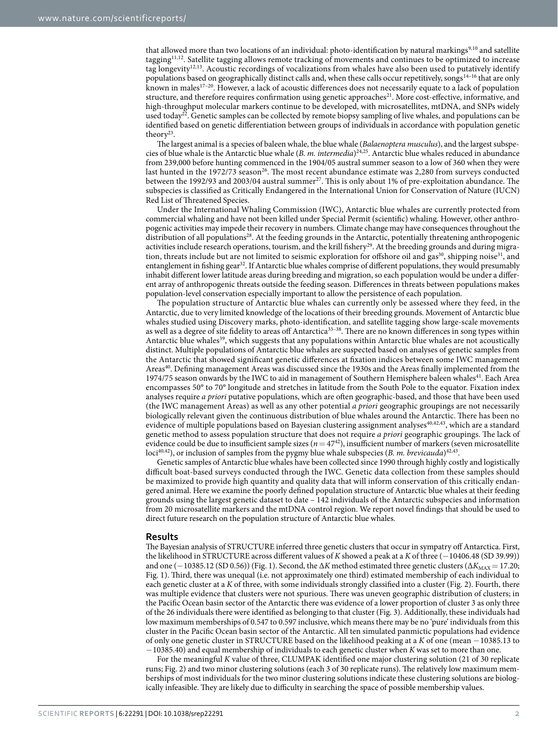that allowed more than two locations of an individual: photo-identification by natural markings<sup>[9,](#page-7-6)10</sup> and satellite tagging[11,](#page-8-0)[12.](#page-8-1) Satellite tagging allows remote tracking of movements and continues to be optimized to increase tag longevity[12,](#page-8-1)[13.](#page-8-2) Acoustic recordings of vocalizations from whales have also been used to putatively identify populations based on geographically distinct calls and, when these calls occur repetitively, songs[14–16](#page-8-3) that are only known in male[s17–20.](#page-8-4) However, a lack of acoustic differences does not necessarily equate to a lack of population structure, and therefore requires confirmation using genetic approaches<sup>[21](#page-8-5)</sup>. More cost-effective, informative, and high-throughput molecular markers continue to be developed, with microsatellites, mtDNA, and SNPs widely used today<sup>22</sup>. Genetic samples can be collected by remote biopsy sampling of live whales, and populations can be identified based on genetic differentiation between groups of individuals in accordance with population genetic theory<sup>23</sup>.

The largest animal is a species of baleen whale, the blue whale (*Balaenoptera musculus*), and the largest subspecies of blue whale is the Antarctic blue whale (*B. m. intermedia*[\)24](#page-8-8)[,25](#page-8-9). Antarctic blue whales reduced in abundance from 239,000 before hunting commenced in the 1904/05 austral summer season to a low of 360 when they were last hunted in the 1972/73 season<sup>26</sup>. The most recent abundance estimate was 2,280 from surveys conducted between the 1992/93 and 2003/04 austral summer<sup>27</sup>. This is only about 1% of pre-exploitation abundance. The subspecies is classified as Critically Endangered in the International Union for Conservation of Nature (IUCN) Red List of Threatened Species.

Under the International Whaling Commission (IWC), Antarctic blue whales are currently protected from commercial whaling and have not been killed under Special Permit (scientific) whaling. However, other anthropogenic activities may impede their recovery in numbers. Climate change may have consequences throughout the distribution of all population[s28.](#page-8-12) At the feeding grounds in the Antarctic, potentially threatening anthropogenic activities include research operations, tourism, and the krill fishery<sup>[29](#page-8-13)</sup>. At the breeding grounds and during migration, threats include but are not limited to seismic exploration for offshore oil and gas<sup>30</sup>, shipping noise<sup>31</sup>, and entanglement in fishing gea[r32.](#page-8-16) If Antarctic blue whales comprise of different populations, they would presumably inhabit different lower latitude areas during breeding and migration, so each population would be under a different array of anthropogenic threats outside the feeding season. Differences in threats between populations makes population-level conservation especially important to allow the persistence of each population.

The population structure of Antarctic blue whales can currently only be assessed where they feed, in the Antarctic, due to very limited knowledge of the locations of their breeding grounds. Movement of Antarctic blue whales studied using Discovery marks, photo-identification, and satellite tagging show large-scale movements as well as a degree of site fidelity to areas off Antarctica<sup>33-38</sup>. There are no known differences in song types within Antarctic blue whales<sup>39</sup>, which suggests that any populations within Antarctic blue whales are not acoustically distinct. Multiple populations of Antarctic blue whales are suspected based on analyses of genetic samples from the Antarctic that showed significant genetic differences at fixation indices between some IWC management Areas<sup>40</sup>. Defining management Areas was discussed since the 1930s and the Areas finally implemented from the 1974/75 season onwards by the IWC to aid in management of Southern Hemisphere baleen whales<sup>41</sup>. Each Area encompasses 50° to 70° longitude and stretches in latitude from the South Pole to the equator. Fixation index analyses require *a priori* putative populations, which are often geographic-based, and those that have been used (the IWC management Areas) as well as any other potential *a priori* geographic groupings are not necessarily biologically relevant given the continuous distribution of blue whales around the Antarctic. There has been no evidence of multiple populations based on Bayesian clustering assignment analyses<sup>[40](#page-8-19),[42](#page-8-21),[43](#page-8-22)</sup>, which are a standard genetic method to assess population structure that does not require *a priori* geographic groupings. The lack of evidence could be due to insufficient sample sizes  $(n = 47<sup>42</sup>)$ , insufficient number of markers (seven microsatellite loci<sup>[40](#page-8-19),[42](#page-8-21)</sup>), or inclusion of samples from the pygmy blue whale subspecies (*B. m. brevicauda*)<sup>42,43</sup>.

Genetic samples of Antarctic blue whales have been collected since 1990 through highly costly and logistically difficult boat-based surveys conducted through the IWC. Genetic data collection from these samples should be maximized to provide high quantity and quality data that will inform conservation of this critically endangered animal. Here we examine the poorly defined population structure of Antarctic blue whales at their feeding grounds using the largest genetic dataset to date – 142 individuals of the Antarctic subspecies and information from 20 microsatellite markers and the mtDNA control region. We report novel findings that should be used to direct future research on the population structure of Antarctic blue whales.

#### **Results**

The Bayesian analysis of STRUCTURE inferred three genetic clusters that occur in sympatry off Antarctica. First, the likelihood in STRUCTURE across different values of *K* showed a peak at a *K* of three (−10406.48 (SD 39.99)) and one (−10385.12 (SD 0.56)) [\(Fig. 1\)](#page-2-0). Second, the Δ*K* method estimated three genetic clusters (Δ*K*<sub>MAX</sub> = 17.20; [Fig. 1\)](#page-2-0). Third, there was unequal (i.e. not approximately one third) estimated membership of each individual to each genetic cluster at a *K* of three, with some individuals strongly classified into a cluster [\(Fig. 2](#page-2-1)). Fourth, there was multiple evidence that clusters were not spurious. There was uneven geographic distribution of clusters; in the Pacific Ocean basin sector of the Antarctic there was evidence of a lower proportion of cluster 3 as only three of the 26 individuals there were identified as belonging to that cluster ([Fig. 3](#page-3-0)). Additionally, these individuals had low maximum memberships of 0.547 to 0.597 inclusive, which means there may be no 'pure' individuals from this cluster in the Pacific Ocean basin sector of the Antarctic. All ten simulated panmictic populations had evidence of only one genetic cluster in STRUCTURE based on the likelihood peaking at a *K* of one (mean −10385.13 to −10385.40) and equal membership of individuals to each genetic cluster when *K* was set to more than one.

For the meaningful *K* value of three, CLUMPAK identified one major clustering solution (21 of 30 replicate runs; [Fig. 2](#page-2-1)) and two minor clustering solutions (each 3 of 30 replicate runs). The relatively low maximum memberships of most individuals for the two minor clustering solutions indicate these clustering solutions are biologically infeasible. They are likely due to difficulty in searching the space of possible membership values.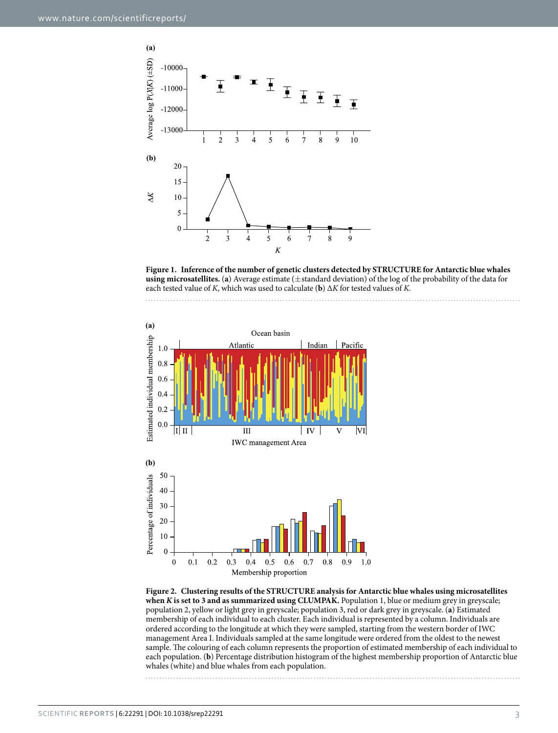

<span id="page-2-0"></span>





<span id="page-2-1"></span>**Figure 2. Clustering results of the STRUCTURE analysis for Antarctic blue whales using microsatellites when** *K* **is set to 3 and as summarized using CLUMPAK.** Population 1, blue or medium grey in greyscale; population 2, yellow or light grey in greyscale; population 3, red or dark grey in greyscale. (**a**) Estimated membership of each individual to each cluster. Each individual is represented by a column. Individuals are ordered according to the longitude at which they were sampled, starting from the western border of IWC management Area I. Individuals sampled at the same longitude were ordered from the oldest to the newest sample. The colouring of each column represents the proportion of estimated membership of each individual to each population. (**b**) Percentage distribution histogram of the highest membership proportion of Antarctic blue whales (white) and blue whales from each population.

Scientific **Reports** | 6:22291 | DOI: 10.1038/srep22291 3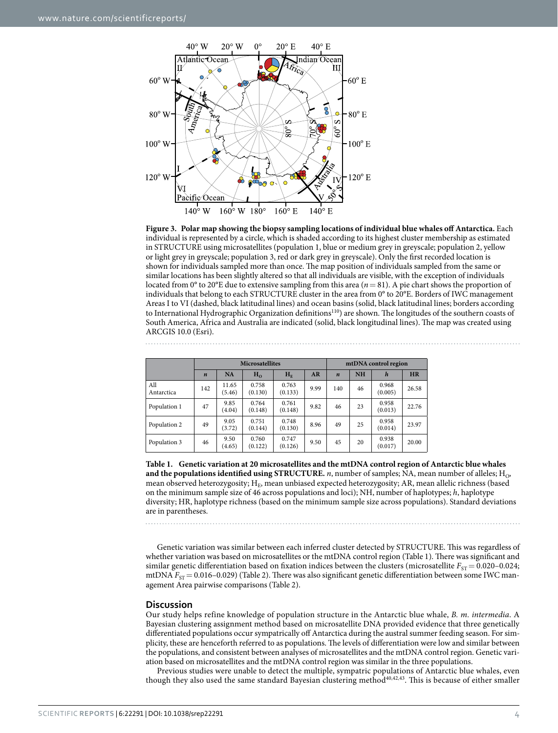

<span id="page-3-0"></span>

<span id="page-3-1"></span>

|                   | <b>Microsatellites</b> |                 |                  |                  | mtDNA control region |                  |           |                  |           |
|-------------------|------------------------|-----------------|------------------|------------------|----------------------|------------------|-----------|------------------|-----------|
|                   | $\boldsymbol{n}$       | <b>NA</b>       | $H_0$            | $H_F$            | AR                   | $\boldsymbol{n}$ | <b>NH</b> | $\boldsymbol{h}$ | <b>HR</b> |
| All<br>Antarctica | 142                    | 11.65<br>(5.46) | 0.758<br>(0.130) | 0.763<br>(0.133) | 9.99                 | 140              | 46        | 0.968<br>(0.005) | 26.58     |
| Population 1      | 47                     | 9.85<br>(4.04)  | 0.764<br>(0.148) | 0.761<br>(0.148) | 9.82                 | 46               | 23        | 0.958<br>(0.013) | 22.76     |
| Population 2      | 49                     | 9.05<br>(3.72)  | 0.751<br>(0.144) | 0.748<br>(0.130) | 8.96                 | 49               | 25        | 0.958<br>(0.014) | 23.97     |
| Population 3      | 46                     | 9.50<br>(4.65)  | 0.760<br>(0.122) | 0.747<br>(0.126) | 9.50                 | 45               | 20        | 0.938<br>(0.017) | 20.00     |

**Table 1. Genetic variation at 20 microsatellites and the mtDNA control region of Antarctic blue whales and the populations identified using STRUCTURE.** *n*, number of samples; NA, mean number of alleles; H<sub>O</sub>, mean observed heterozygosity; H<sub>E</sub>, mean unbiased expected heterozygosity; AR, mean allelic richness (based on the minimum sample size of 46 across populations and loci); NH, number of haplotypes; *h*, haplotype diversity; HR, haplotype richness (based on the minimum sample size across populations). Standard deviations are in parentheses.

Genetic variation was similar between each inferred cluster detected by STRUCTURE. This was regardless of whether variation was based on microsatellites or the mtDNA control region [\(Table 1\)](#page-3-1). There was significant and similar genetic differentiation based on fixation indices between the clusters (microsatellite  $F_{ST}= 0.020-0.024$ ; mtDNA  $F_{ST}= 0.016-0.029$  [\(Table 2\)](#page-4-0). There was also significant genetic differentiation between some IWC management Area pairwise comparisons [\(Table 2\)](#page-4-0).

#### **Discussion**

Our study helps refine knowledge of population structure in the Antarctic blue whale, *B. m. intermedia*. A Bayesian clustering assignment method based on microsatellite DNA provided evidence that three genetically differentiated populations occur sympatrically off Antarctica during the austral summer feeding season. For simplicity, these are henceforth referred to as populations. The levels of differentiation were low and similar between the populations, and consistent between analyses of microsatellites and the mtDNA control region. Genetic variation based on microsatellites and the mtDNA control region was similar in the three populations.

Previous studies were unable to detect the multiple, sympatric populations of Antarctic blue whales, even though they also used the same standard Bayesian clustering method<sup>[40,](#page-8-19)[42](#page-8-21)[,43](#page-8-22)</sup>. This is because of either smaller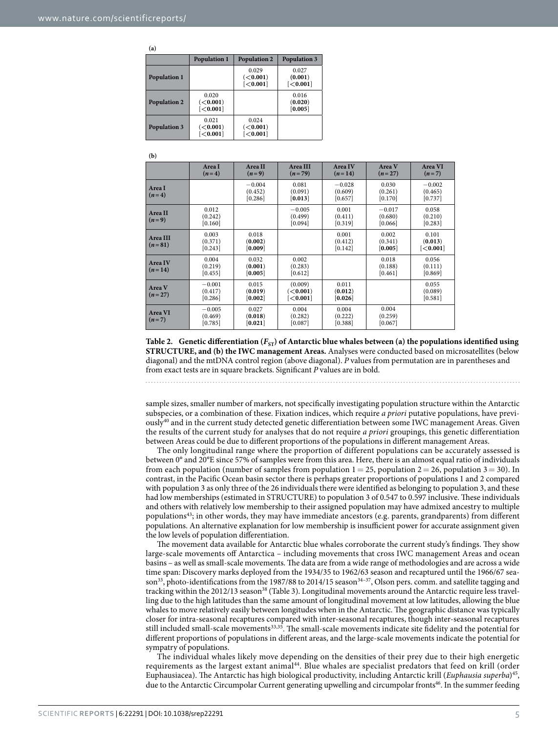<span id="page-4-0"></span>**(a)**

|                     | <b>Population 1</b>                        | <b>Population 2</b>                   | <b>Population 3</b>          |
|---------------------|--------------------------------------------|---------------------------------------|------------------------------|
| <b>Population 1</b> |                                            | 0.029<br>( <b>0.001</b> )<br>[<0.001] | 0.027<br>(0.001)<br>[<0.001] |
| <b>Population 2</b> | 0.020<br>( <b>0.001</b> )<br>$\sim$ 0.001] |                                       | 0.016<br>(0.020)<br>[0.005]  |
| <b>Population 3</b> | 0.021<br>( <b>0.001</b> )<br>[<0.001]      | 0.024<br>( <b>0.001</b> )<br>[<0.001] |                              |

**(b)**

|                      | Area I<br>$(n=4)$              | Area II<br>$(n=9)$             | Area III<br>$(n=79)$                            | Area IV<br>$(n=14)$            | Area V<br>$(n=27)$             | Area VI<br>$(n=7)$                |
|----------------------|--------------------------------|--------------------------------|-------------------------------------------------|--------------------------------|--------------------------------|-----------------------------------|
| Area I<br>$(n=4)$    |                                | $-0.004$<br>(0.452)<br>[0.286] | 0.081<br>(0.091)<br>[0.013]                     | $-0.028$<br>(0.609)<br>[0.657] | 0.030<br>(0.261)<br>[0.170]    | $-0.002$<br>(0.465)<br>[0.737]    |
| Area II<br>$(n=9)$   | 0.012<br>(0.242)<br>[0.160]    |                                | $-0.005$<br>(0.499)<br>[0.094]                  | 0.001<br>(0.411)<br>[0.319]    | $-0.017$<br>(0.680)<br>[0.066] | 0.058<br>(0.210)<br>[0.283]       |
| Area III<br>$(n=81)$ | 0.003<br>(0.371)<br>[0.243]    | 0.018<br>(0.002)<br>[0.009]    |                                                 | 0.001<br>(0.412)<br>[0.142]    | 0.002<br>(0.341)<br>[0.005]    | 0.101<br>(0.013)<br>$\sim$ 0.001] |
| Area IV<br>$(n=14)$  | 0.004<br>(0.219)<br>[0.455]    | 0.032<br>(0.001)<br>[0.005]    | 0.002<br>(0.283)<br>[0.612]                     |                                | 0.018<br>(0.188)<br>[0.461]    | 0.056<br>(0.111)<br>[0.869]       |
| Area V<br>$(n=27)$   | $-0.001$<br>(0.417)<br>[0.286] | 0.015<br>(0.019)<br>[0.002]    | (0.009)<br>(<0.001)<br>$\left[ < 0.001 \right]$ | 0.011<br>(0.012)<br>[0.026]    |                                | 0.055<br>(0.089)<br>[0.581]       |
| Area VI<br>$(n=7)$   | $-0.005$<br>(0.469)<br>[0.785] | 0.027<br>(0.018)<br>[0.021]    | 0.004<br>(0.282)<br>[0.087]                     | 0.004<br>(0.222)<br>[0.388]    | 0.004<br>(0.259)<br>[0.067]    |                                   |

Table 2. Genetic differentiation  $(F_{ST})$  of Antarctic blue whales between (a) the populations identified using **STRUCTURE, and (b) the IWC management Areas.** Analyses were conducted based on microsatellites (below diagonal) and the mtDNA control region (above diagonal). *P* values from permutation are in parentheses and from exact tests are in square brackets. Significant *P* values are in bold.

sample sizes, smaller number of markers, not specifically investigating population structure within the Antarctic subspecies, or a combination of these. Fixation indices, which require *a priori* putative populations, have previously[40](#page-8-19) and in the current study detected genetic differentiation between some IWC management Areas. Given the results of the current study for analyses that do not require *a priori* groupings, this genetic differentiation between Areas could be due to different proportions of the populations in different management Areas.

The only longitudinal range where the proportion of different populations can be accurately assessed is between 0° and 20°E since 57% of samples were from this area. Here, there is an almost equal ratio of individuals from each population (number of samples from population  $1 = 25$ , population  $2 = 26$ , population  $3 = 30$ ). In contrast, in the Pacific Ocean basin sector there is perhaps greater proportions of populations 1 and 2 compared with population 3 as only three of the 26 individuals there were identified as belonging to population 3, and these had low memberships (estimated in STRUCTURE) to population 3 of 0.547 to 0.597 inclusive. These individuals and others with relatively low membership to their assigned population may have admixed ancestry to multiple populations<sup>43</sup>; in other words, they may have immediate ancestors (e.g. parents, grandparents) from different populations. An alternative explanation for low membership is insufficient power for accurate assignment given the low levels of population differentiation.

The movement data available for Antarctic blue whales corroborate the current study's findings. They show large-scale movements off Antarctica – including movements that cross IWC management Areas and ocean basins – as well as small-scale movements. The data are from a wide range of methodologies and are across a wide time span: Discovery marks deployed from the 1934/35 to 1962/63 season and recaptured until the 1966/67 season<sup>33</sup>, photo-identifications from the 1987/88 to 2014/15 season<sup>34-37</sup>, Olson pers. comm. and satellite tagging and tracking within the 2012/13 season<sup>[38](#page-8-24)</sup> [\(Table 3](#page-5-0)). Longitudinal movements around the Antarctic require less travelling due to the high latitudes than the same amount of longitudinal movement at low latitudes, allowing the blue whales to move relatively easily between longitudes when in the Antarctic. The geographic distance was typically closer for intra-seasonal recaptures compared with inter-seasonal recaptures, though inter-seasonal recaptures still included small-scale movements<sup>[33,](#page-8-17)35</sup>. The small-scale movements indicate site fidelity and the potential for different proportions of populations in different areas, and the large-scale movements indicate the potential for sympatry of populations.

The individual whales likely move depending on the densities of their prey due to their high energetic requirements as the largest extant animal[44.](#page-8-26) Blue whales are specialist predators that feed on krill (order Euphausiacea). The Antarctic has high biological productivity, including Antarctic krill (*Euphausia superba*)[45,](#page-8-27) due to the Antarctic Circumpolar Current generating upwelling and circumpolar fronts<sup>[46](#page-8-28)</sup>. In the summer feeding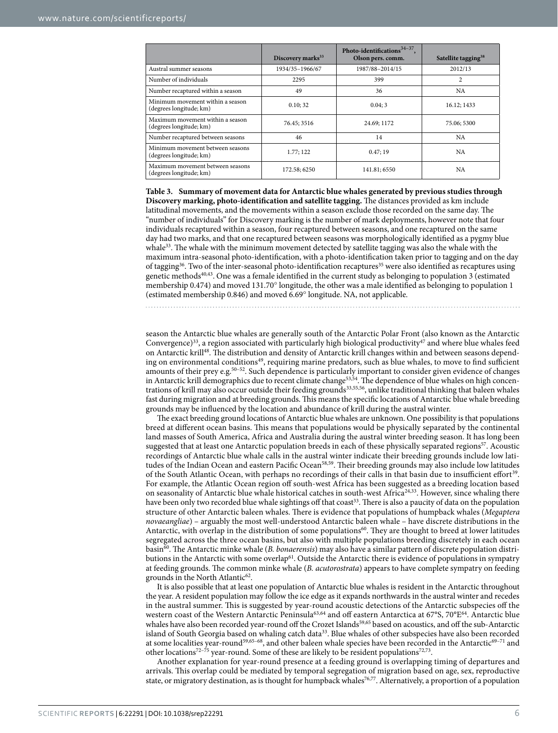<span id="page-5-0"></span>

|                                                             | Discovery marks <sup>33</sup> | Photo-identifications $34-37$ ,<br>Olson pers. comm. | Satellite tagging <sup>38</sup> |
|-------------------------------------------------------------|-------------------------------|------------------------------------------------------|---------------------------------|
| Austral summer seasons                                      | 1934/35-1966/67               | 1987/88-2014/15                                      | 2012/13                         |
| Number of individuals                                       | 2295                          | 399                                                  | $\overline{c}$                  |
| Number recaptured within a season                           | 49                            | 36                                                   | <b>NA</b>                       |
| Minimum movement within a season<br>(degrees longitude; km) | 0.10:32                       | 0.04:3                                               | 16.12: 1433                     |
| Maximum movement within a season<br>(degrees longitude; km) | 76.45: 3516                   | 24.69; 1172                                          | 75.06; 5300                     |
| Number recaptured between seasons                           | 46                            | 14                                                   | <b>NA</b>                       |
| Minimum movement between seasons<br>(degrees longitude; km) | 1.77: 122                     | 0.47:19                                              | <b>NA</b>                       |
| Maximum movement between seasons<br>(degrees longitude; km) | 172.58; 6250                  | 141.81:6550                                          | <b>NA</b>                       |

**Table 3. Summary of movement data for Antarctic blue whales generated by previous studies through Discovery marking, photo-identification and satellite tagging.** The distances provided as km include latitudinal movements, and the movements within a season exclude those recorded on the same day. The "number of individuals" for Discovery marking is the number of mark deployments, however note that four individuals recaptured within a season, four recaptured between seasons, and one recaptured on the same day had two marks, and that one recaptured between seasons was morphologically identified as a pygmy blue whale<sup>[33](#page-8-17)</sup>. The whale with the minimum movement detected by satellite tagging was also the whale with the maximum intra-seasonal photo-identification, with a photo-identification taken prior to tagging and on the day of tagging<sup>36</sup>. Two of the inter-seasonal photo-identification recaptures<sup>[35](#page-8-25)</sup> were also identified as recaptures using genetic methods $40,43$  $40,43$  $40,43$ . One was a female identified in the current study as belonging to population 3 (estimated membership 0.474) and moved 131.70° longitude, the other was a male identified as belonging to population 1 (estimated membership 0.846) and moved 6.69° longitude. NA, not applicable.

season the Antarctic blue whales are generally south of the Antarctic Polar Front (also known as the Antarctic Convergence)<sup>33</sup>, a region associated with particularly high biological productivity<sup>47</sup> and where blue whales feed on Antarctic krill[48](#page-8-30). The distribution and density of Antarctic krill changes within and between seasons depending on environmental condition[s49](#page-8-31), requiring marine predators, such as blue whales, to move to find sufficient amounts of their prey e.g.<sup>50–52</sup>. Such dependence is particularly important to consider given evidence of changes in Antarctic krill demographics due to recent climate change<sup>53,54</sup>. The dependence of blue whales on high concentrations of krill may also occur outside their feeding grounds[33](#page-8-17),[55](#page-8-35),[56](#page-8-36), unlike traditional thinking that baleen whales fast during migration and at breeding grounds. This means the specific locations of Antarctic blue whale breeding grounds may be influenced by the location and abundance of krill during the austral winter.

The exact breeding ground locations of Antarctic blue whales are unknown. One possibility is that populations breed at different ocean basins. This means that populations would be physically separated by the continental land masses of South America, Africa and Australia during the austral winter breeding season. It has long been suggested that at least one Antarctic population breeds in each of these physically separated regions<sup>57</sup>. Acoustic recordings of Antarctic blue whale calls in the austral winter indicate their breeding grounds include low lati-tudes of the Indian Ocean and eastern Pacific Ocean<sup>58[,59](#page-9-1)</sup>. Their breeding grounds may also include low latitudes of the South Atlantic Ocean, with perhaps no recordings of their calls in that basin due to insufficient effort[39.](#page-8-18) For example, the Atlantic Ocean region off south-west Africa has been suggested as a breeding location based on seasonality of Antarctic blue whale historical catches in south-west Africa[24,](#page-8-8)[33.](#page-8-17) However, since whaling there have been only two recorded blue whale sightings off that coast<sup>33</sup>. There is also a paucity of data on the population structure of other Antarctic baleen whales. There is evidence that populations of humpback whales (*Megaptera novaeangliae*) – arguably the most well-understood Antarctic baleen whale – have discrete distributions in the Antarctic, with overlap in the distribution of some populations<sup>[60](#page-9-2)</sup>. They are thought to breed at lower latitudes segregated across the three ocean basins, but also with multiple populations breeding discretely in each ocean basin[60](#page-9-2). The Antarctic minke whale (*B. bonaerensis*) may also have a similar pattern of discrete population distributions in the Antarctic with some overlap<sup>61</sup>. Outside the Antarctic there is evidence of populations in sympatry at feeding grounds. The common minke whale (*B. acutorostrata*) appears to have complete sympatry on feeding grounds in the North Atlantic<sup>62</sup>.

It is also possible that at least one population of Antarctic blue whales is resident in the Antarctic throughout the year. A resident population may follow the ice edge as it expands northwards in the austral winter and recedes in the austral summer. This is suggested by year-round acoustic detections of the Antarctic subspecies off the western coast of the Western Antarctic Peninsula<sup>[63,](#page-9-5)[64](#page-9-6)</sup> and off eastern Antarctica at 67°S, 70°E<sup>64</sup>. Antarctic blue whales have also been recorded year-round off the Crozet Islands<sup>59,65</sup> based on acoustics, and off the sub-Antarctic island of South Georgia based on whaling catch data<sup>[33](#page-8-17)</sup>. Blue whales of other subspecies have also been recorded at some localities year-round<sup>59,[65–68](#page-9-7)</sup>, and other baleen whale species have been recorded in the Antarctic<sup>[69–71](#page-9-8)</sup> and other locations<sup>72–75</sup> year-round. Some of these are likely to be resident populations<sup>72,73</sup>.

Another explanation for year-round presence at a feeding ground is overlapping timing of departures and arrivals. This overlap could be mediated by temporal segregation of migration based on age, sex, reproductive state, or migratory destination, as is thought for humpback whales<sup>[76](#page-9-11),[77](#page-9-12)</sup>. Alternatively, a proportion of a population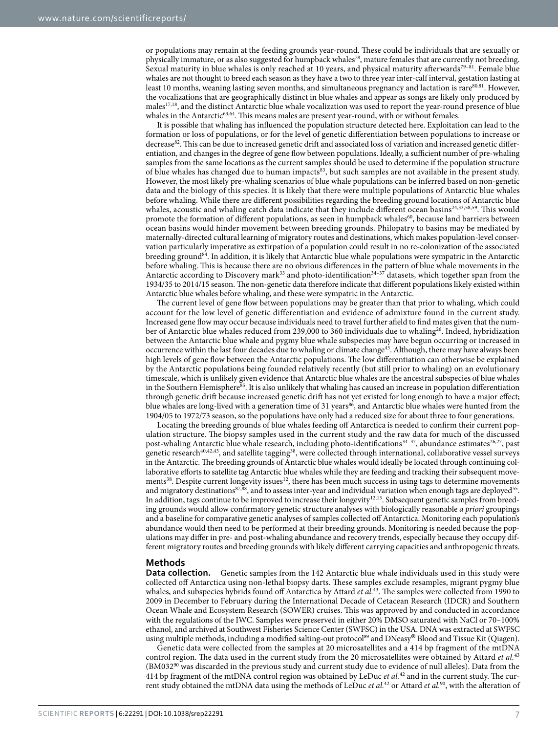or populations may remain at the feeding grounds year-round. These could be individuals that are sexually or physically immature, or as also suggested for humpback whales<sup>[78](#page-9-13)</sup>, mature females that are currently not breeding. Sexual maturity in blue whales is only reached at 10 years, and physical maturity afterwards<sup>79-81</sup>. Female blue whales are not thought to breed each season as they have a two to three year inter-calf interval, gestation lasting at least 10 months, weaning lasting seven months, and simultaneous pregnancy and lactation is rar[e80,](#page-9-15)[81.](#page-9-16) However, the vocalizations that are geographically distinct in blue whales and appear as songs are likely only produced by males<sup>17[,18](#page-8-39)</sup>, and the distinct Antarctic blue whale vocalization was used to report the year-round presence of blue whales in the Antarctic<sup>[63,](#page-9-5)64</sup>. This means males are present year-round, with or without females.

It is possible that whaling has influenced the population structure detected here. Exploitation can lead to the formation or loss of populations, or for the level of genetic differentiation between populations to increase or decrease<sup>82</sup>. This can be due to increased genetic drift and associated loss of variation and increased genetic differentiation, and changes in the degree of gene flow between populations. Ideally, a sufficient number of pre-whaling samples from the same locations as the current samples should be used to determine if the population structure of blue whales has changed due to human impacts[83](#page-9-18), but such samples are not available in the present study. However, the most likely pre-whaling scenarios of blue whale populations can be inferred based on non-genetic data and the biology of this species. It is likely that there were multiple populations of Antarctic blue whales before whaling. While there are different possibilities regarding the breeding ground locations of Antarctic blue whales, acoustic and whaling catch data indicate that they include different ocean basins<sup>24[,33](#page-8-17),[58](#page-9-0),[59](#page-9-1)</sup>. This would promote the formation of different populations, as seen in humpback whales<sup>[60](#page-9-2)</sup>, because land barriers between ocean basins would hinder movement between breeding grounds. Philopatry to basins may be mediated by maternally-directed cultural learning of migratory routes and destinations, which makes population-level conservation particularly imperative as extirpation of a population could result in no re-colonization of the associated breeding ground<sup>[84](#page-9-19)</sup>. In addition, it is likely that Antarctic blue whale populations were sympatric in the Antarctic before whaling. This is because there are no obvious differences in the pattern of blue whale movements in the Antarctic according to Discovery mark<sup>[33](#page-8-17)</sup> and photo-identification<sup>34–37</sup> datasets, which together span from the 1934/35 to 2014/15 season. The non-genetic data therefore indicate that different populations likely existed within Antarctic blue whales before whaling, and these were sympatric in the Antarctic.

The current level of gene flow between populations may be greater than that prior to whaling, which could account for the low level of genetic differentiation and evidence of admixture found in the current study. Increased gene flow may occur because individuals need to travel further afield to find mates given that the num-ber of Antarctic blue whales reduced from 239,000 to 360 individuals due to whaling<sup>[26](#page-8-10)</sup>. Indeed, hybridization between the Antarctic blue whale and pygmy blue whale subspecies may have begun occurring or increased in occurrence within the last four decades due to whaling or climate change[43](#page-8-22). Although, there may have always been high levels of gene flow between the Antarctic populations. The low differentiation can otherwise be explained by the Antarctic populations being founded relatively recently (but still prior to whaling) on an evolutionary timescale, which is unlikely given evidence that Antarctic blue whales are the ancestral subspecies of blue whales in the Southern Hemisphere<sup>85</sup>. It is also unlikely that whaling has caused an increase in population differentiation through genetic drift because increased genetic drift has not yet existed for long enough to have a major effect; blue whales are long-lived with a generation time of 31 years<sup>86</sup>, and Antarctic blue whales were hunted from the 1904/05 to 1972/73 season, so the populations have only had a reduced size for about three to four generations.

Locating the breeding grounds of blue whales feeding off Antarctica is needed to confirm their current population structure. The biopsy samples used in the current study and the raw data for much of the discussed post-whaling Antarctic blue whale research, including photo-identifications<sup>34-37</sup>, abundance estimates<sup>[26,](#page-8-10)27</sup>, past genetic research[40,](#page-8-19)[42,](#page-8-21)[43,](#page-8-22) and satellite tagging[38](#page-8-24), were collected through international, collaborative vessel surveys in the Antarctic. The breeding grounds of Antarctic blue whales would ideally be located through continuing collaborative efforts to satellite tag Antarctic blue whales while they are feeding and tracking their subsequent move-ments<sup>[38](#page-8-24)</sup>. Despite current longevity issues<sup>12</sup>, there has been much success in using tags to determine movements and migratory destinations<sup>87,88</sup>, and to assess inter-year and individual variation when enough tags are deployed<sup>55</sup>. In addition, tags continue to be improved to increase their longevity<sup>12,13</sup>. Subsequent genetic samples from breeding grounds would allow confirmatory genetic structure analyses with biologically reasonable *a priori* groupings and a baseline for comparative genetic analyses of samples collected off Antarctica. Monitoring each population's abundance would then need to be performed at their breeding grounds. Monitoring is needed because the populations may differ in pre- and post-whaling abundance and recovery trends, especially because they occupy different migratory routes and breeding grounds with likely different carrying capacities and anthropogenic threats.

#### **Methods**

**Data collection.** Genetic samples from the 142 Antarctic blue whale individuals used in this study were collected off Antarctica using non-lethal biopsy darts. These samples exclude resamples, migrant pygmy blue whales, and subspecies hybrids found off Antarctica by Attard *et al.*[43](#page-8-22). The samples were collected from 1990 to 2009 in December to February during the International Decade of Cetacean Research (IDCR) and Southern Ocean Whale and Ecosystem Research (SOWER) cruises. This was approved by and conducted in accordance with the regulations of the IWC. Samples were preserved in either 20% DMSO saturated with NaCl or 70–100% ethanol, and archived at Southwest Fisheries Science Center (SWFSC) in the USA. DNA was extracted at SWFSC using multiple methods, including a modified salting-out protocol<sup>89</sup> and DNeasy® Blood and Tissue Kit (Qiagen).

Genetic data were collected from the samples at 20 microsatellites and a 414 bp fragment of the mtDNA control region. The data used in the current study from the 20 microsatellites were obtained by Attard *et al.*[43](#page-8-22) (BM03[290](#page-9-25) was discarded in the previous study and current study due to evidence of null alleles). Data from the 414 bp fragment of the mtDNA control region was obtained by LeDuc *et al.*[42](#page-8-21) and in the current study. The current study obtained the mtDNA data using the methods of LeDuc *et al.*[42](#page-8-21) or Attard *et al.*[90](#page-9-25), with the alteration of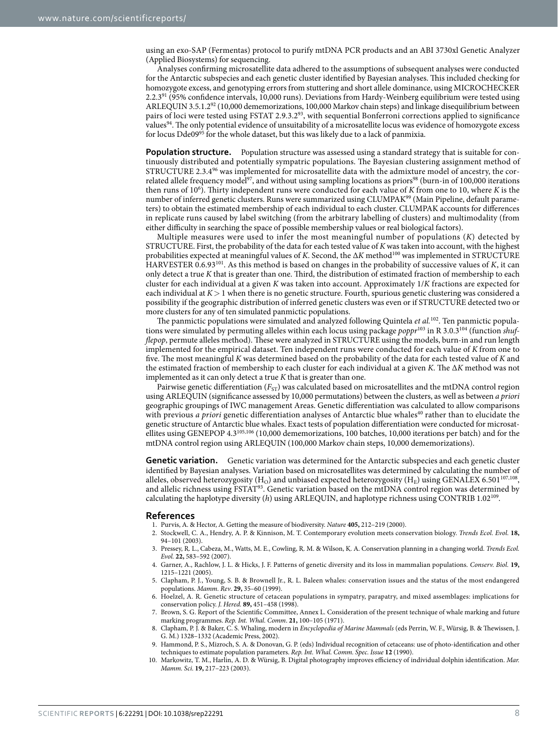using an exo-SAP (Fermentas) protocol to purify mtDNA PCR products and an ABI 3730xl Genetic Analyzer (Applied Biosystems) for sequencing.

Analyses confirming microsatellite data adhered to the assumptions of subsequent analyses were conducted for the Antarctic subspecies and each genetic cluster identified by Bayesian analyses. This included checking for homozygote excess, and genotyping errors from stuttering and short allele dominance, using MICROCHECKER 2.2.3[91](#page-9-26) (95% confidence intervals, 10,000 runs). Deviations from Hardy-Weinberg equilibrium were tested using ARLEQUIN 3.5.1.2<sup>[92](#page-9-27)</sup> (10,000 dememorizations, 100,000 Markov chain steps) and linkage disequilibrium between pairs of loci were tested using FSTAT 2.9.3.[293,](#page-9-28) with sequential Bonferroni corrections applied to significance values<sup>[94](#page-9-29)</sup>. The only potential evidence of unsuitability of a microsatellite locus was evidence of homozygote excess for locus Dde09<sup>95</sup> for the whole dataset, but this was likely due to a lack of panmixia.

**Population structure.** Population structure was assessed using a standard strategy that is suitable for continuously distributed and potentially sympatric populations. The Bayesian clustering assignment method of STRUCTURE 2.3.4 $96$  was implemented for microsatellite data with the admixture model of ancestry, the cor-related allele frequency model<sup>[97](#page-9-32)</sup>, and without using sampling locations as priors<sup>[98](#page-9-33)</sup> (burn-in of 100,000 iterations then runs of 106 ). Thirty independent runs were conducted for each value of *K* from one to 10, where *K* is the number of inferred genetic clusters. Runs were summarized using CLUMPAK<sup>99</sup> (Main Pipeline, default parameters) to obtain the estimated membership of each individual to each cluster. CLUMPAK accounts for differences in replicate runs caused by label switching (from the arbitrary labelling of clusters) and multimodality (from either difficulty in searching the space of possible membership values or real biological factors).

Multiple measures were used to infer the most meaningful number of populations (*K*) detected by STRUCTURE. First, the probability of the data for each tested value of *K* was taken into account, with the highest probabilities expected at meaningful values of *K*. Second, the Δ*K* method[100](#page-9-35) was implemented in STRUCTURE HARVESTER 0.6.9[3101.](#page-10-1) As this method is based on changes in the probability of successive values of *K*, it can only detect a true *K* that is greater than one. Third, the distribution of estimated fraction of membership to each cluster for each individual at a given *K* was taken into account. Approximately 1/*K* fractions are expected for each individual at *K*> 1 when there is no genetic structure. Fourth, spurious genetic clustering was considered a possibility if the geographic distribution of inferred genetic clusters was even or if STRUCTURE detected two or more clusters for any of ten simulated panmictic populations.

The panmictic populations were simulated and analyzed following Quintela *et al.*[102](#page-10-2). Ten panmictic populations were simulated by permuting alleles within each locus using package *poppr*[103](#page-10-3) in R 3.0.[3104](#page-10-4) (function *shufflepop*, permute alleles method). These were analyzed in STRUCTURE using the models, burn-in and run length implemented for the empirical dataset. Ten independent runs were conducted for each value of *K* from one to five. The most meaningful *K* was determined based on the probability of the data for each tested value of *K* and the estimated fraction of membership to each cluster for each individual at a given *K*. The Δ*K* method was not implemented as it can only detect a true *K* that is greater than one.

Pairwise genetic differentiation ( $F_{ST}$ ) was calculated based on microsatellites and the mtDNA control region using ARLEQUIN (significance assessed by 10,000 permutations) between the clusters, as well as between *a priori* geographic groupings of IWC management Areas. Genetic differentiation was calculated to allow comparisons with previous *a priori* genetic differentiation analyses of Antarctic blue whales<sup>[40](#page-8-19)</sup> rather than to elucidate the genetic structure of Antarctic blue whales. Exact tests of population differentiation were conducted for microsatellites using GENEPOP 4.3[105](#page-10-5),[106](#page-10-6) (10,000 dememorizations, 100 batches, 10,000 iterations per batch) and for the mtDNA control region using ARLEQUIN (100,000 Markov chain steps, 10,000 dememorizations).

**Genetic variation.** Genetic variation was determined for the Antarctic subspecies and each genetic cluster identified by Bayesian analyses. Variation based on microsatellites was determined by calculating the number of alleles, observed heterozygosity (H<sub>O</sub>) and unbiased expected heterozygosity (H<sub>F</sub>) using GENALEX 6.501<sup>107,108</sup>, and allelic richness using FSTAT<sup>93</sup>. Genetic variation based on the mtDNA control region was determined by calculating the haplotype diversity (*h*) using ARLEQUIN, and haplotype richness using CONTRIB 1.02[109](#page-10-9).

#### **References**

- <span id="page-7-0"></span>1. Purvis, A. & Hector, A. Getting the measure of biodiversity. *Nature* **405,** 212–219 (2000).
- <span id="page-7-1"></span>2. Stockwell, C. A., Hendry, A. P. & Kinnison, M. T. Contemporary evolution meets conservation biology. *Trends Ecol. Evol.* **18,** 94–101 (2003).
- 3. Pressey, R. L., Cabeza, M., Watts, M. E., Cowling, R. M. & Wilson, K. A. Conservation planning in a changing world. *Trends Ecol. Evol.* **22,** 583–592 (2007).
- 4. Garner, A., Rachlow, J. L. & Hicks, J. F. Patterns of genetic diversity and its loss in mammalian populations. *Conserv. Biol.* **19,** 1215–1221 (2005).
- <span id="page-7-2"></span>5. Clapham, P. J., Young, S. B. & Brownell Jr., R. L. Baleen whales: conservation issues and the status of the most endangered populations. *Mamm. Rev*. **29,** 35–60 (1999).
- <span id="page-7-3"></span>6. Hoelzel, A. R. Genetic structure of cetacean populations in sympatry, parapatry, and mixed assemblages: implications for conservation policy. *J. Hered.* **89,** 451–458 (1998).
- <span id="page-7-4"></span>7. Brown, S. G. Report of the Scientific Committee, Annex L. Consideration of the present technique of whale marking and future marking programmes. *Rep. Int. Whal. Comm*. **21,** 100–105 (1971).
- <span id="page-7-5"></span>8. Clapham, P. J. & Baker, C. S. Whaling, modern in *Encyclopedia of Marine Mammals* (eds Perrin, W. F., Würsig, B. & Thewissen, J. G. M.) 1328–1332 (Academic Press, 2002).
- <span id="page-7-6"></span>9. Hammond, P. S., Mizroch, S. A. & Donovan, G. P. (eds) Individual recognition of cetaceans: use of photo-identification and other techniques to estimate population parameters. *Rep. Int. Whal. Comm. Spec. Issue* **12** (1990).
- <span id="page-7-7"></span>10. Markowitz, T. M., Harlin, A. D. & Würsig, B. Digital photography improves efficiency of individual dolphin identification. *Mar. Mamm. Sci*. **19,** 217–223 (2003).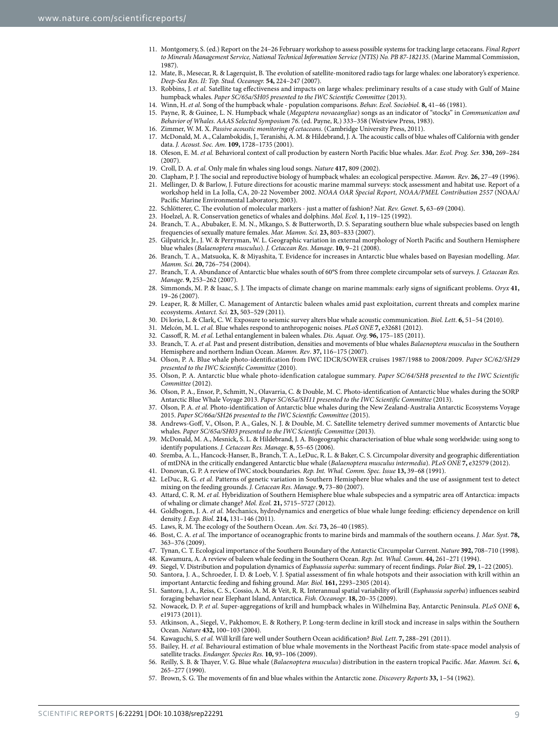- <span id="page-8-0"></span>11. Montgomery, S. (ed.) Report on the 24–26 February workshop to assess possible systems for tracking large cetaceans. *Final Report to Minerals Management Service, National Technical Information Service (NTIS) No. PB 87-182135*. (Marine Mammal Commission, 1987).
- <span id="page-8-1"></span>12. Mate, B., Mesecar, R. & Lagerquist, B. The evolution of satellite-monitored radio tags for large whales: one laboratory's experience. *Deep-Sea Res. II: Top. Stud. Oceanogr.* **54,** 224–247 (2007).
- <span id="page-8-2"></span>13. Robbins, J. *et al.* Satellite tag effectiveness and impacts on large whales: preliminary results of a case study with Gulf of Maine humpback whales. *Paper SC/65a/SH05 presented to the IWC Scientific Committee* (2013).
- <span id="page-8-3"></span>14. Winn, H. *et al.* Song of the humpback whale - population comparisons. *Behav. Ecol. Sociobiol.* **8,** 41–46 (1981).
- 15. Payne, R. & Guinee, L. N. Humpback whale (*Megaptera novaeangliae*) songs as an indicator of "stocks" in *Communication and Behavior of Whales. AAAS Selected Symposium 76*. (ed. Payne, R.) 333–358 (Westview Press, 1983).
- <span id="page-8-4"></span>16. Zimmer, W. M. X. *Passive acoustic monitoring of cetaceans*. (Cambridge University Press, 2011).
- 17. McDonald, M. A., Calambokidis, J., Teranishi, A. M. & Hildebrand, J. A. The acoustic calls of blue whales off California with gender data. *J. Acoust. Soc. Am.* **109,** 1728–1735 (2001).
- <span id="page-8-39"></span>18. Oleson, E. M. *et al.* Behavioral context of call production by eastern North Pacific blue whales. *Mar. Ecol. Prog. Ser.* **330,** 269–284  $(2007)$
- 19. Croll, D. A. *et al.* Only male fin whales sing loud songs. *Nature* **417,** 809 (2002).
- 20. Clapham, P. J. The social and reproductive biology of humpback whales: an ecological perspective. *Mamm. Rev*. **26,** 27–49 (1996). 21. Mellinger, D. & Barlow, J. Future directions for acoustic marine mammal surveys: stock assessment and habitat use. Report of a
- <span id="page-8-5"></span>workshop held in La Jolla, CA, 20-22 November 2002. *NOAA OAR Special Report, NOAA/PMEL Contribution 2557* (NOAA/ Pacific Marine Environmental Laboratory, 2003).
- <span id="page-8-6"></span>22. Schlötterer, C. The evolution of molecular markers - just a matter of fashion? *Nat. Rev. Genet.* **5,** 63–69 (2004).
- <span id="page-8-8"></span><span id="page-8-7"></span>23. Hoelzel, A. R. Conservation genetics of whales and dolphins. *Mol. Ecol.* **1,** 119–125 (1992).
- 24. Branch, T. A., Abubaker, E. M. N., Mkango, S. & Butterworth, D. S. Separating southern blue whale subspecies based on length frequencies of sexually mature females. *Mar. Mamm. Sci*. **23,** 803–833 (2007).
- <span id="page-8-9"></span>25. Gilpatrick Jr., J. W. & Perryman, W. L. Geographic variation in external morphology of North Pacific and Southern Hemisphere blue whales (*Balaenoptera musculus*). *J. Cetacean Res. Manage*. **10,** 9–21 (2008).
- <span id="page-8-10"></span>26. Branch, T. A., Matsuoka, K. & Miyashita, T. Evidence for increases in Antarctic blue whales based on Bayesian modelling. *Mar. Mamm. Sci*. **20,** 726–754 (2004).
- <span id="page-8-11"></span>27. Branch, T. A. Abundance of Antarctic blue whales south of 60°S from three complete circumpolar sets of surveys. *J. Cetacean Res. Manage*. **9,** 253–262 (2007).
- <span id="page-8-12"></span>28. Simmonds, M. P. & Isaac, S. J. The impacts of climate change on marine mammals: early signs of significant problems. *Oryx* **41,** 19–26 (2007).
- <span id="page-8-13"></span>29. Leaper, R. & Miller, C. Management of Antarctic baleen whales amid past exploitation, current threats and complex marine ecosystems. *Antarct. Sci.* **23,** 503–529 (2011).
- <span id="page-8-14"></span>30. Di lorio, L. & Clark, C. W. Exposure to seismic survey alters blue whale acoustic communication. *Biol. Lett*. **6,** 51–54 (2010).
- <span id="page-8-15"></span>31. Melcón, M. L. *et al.* Blue whales respond to anthropogenic noises. *PLoS ONE* **7,** e32681 (2012).
- <span id="page-8-17"></span><span id="page-8-16"></span>32. Cassoff, R. M. *et al.* Lethal entanglement in baleen whales. *Dis. Aquat. Org*. **96,** 175–185 (2011).
- 33. Branch, T. A. *et al.* Past and present distribution, densities and movements of blue whales *Balaenoptera musculus* in the Southern Hemisphere and northern Indian Ocean. *Mamm. Rev*. **37,** 116–175 (2007).
- <span id="page-8-23"></span>34. Olson, P. A. Blue whale photo-identification from IWC IDCR/SOWER cruises 1987/1988 to 2008/2009. *Paper SC/62/SH29 presented to the IWC Scientific Committee* (2010).
- <span id="page-8-25"></span>35. Olson, P. A. Antarctic blue whale photo-idenfication catalogue summary. *Paper SC/64/SH8 presented to the IWC Scientific Committee* (2012).
- <span id="page-8-38"></span>36. Olson, P. A., Ensor, P., Schmitt, N., Olavarria, C. & Double, M. C. Photo-identification of Antarctic blue whales during the SORP Antarctic Blue Whale Voyage 2013. *Paper SC/65a/SH11 presented to the IWC Scientific Committee* (2013).
- 37. Olson, P. A. *et al.* Photo-identification of Antarctic blue whales during the New Zealand-Australia Antarctic Ecosystems Voyage 2015. *Paper SC/66a/SH26 presented to the IWC Scientific Committee* (2015).
- <span id="page-8-24"></span>38. Andrews-Goff, V., Olson, P. A., Gales, N. J. & Double, M. C. Satellite telemetry derived summer movements of Antarctic blue whales. *Paper SC/65a/SH03 presented to the IWC Scientific Committee* (2013).
- <span id="page-8-18"></span>39. McDonald, M. A., Mesnick, S. L. & Hildebrand, J. A. Biogeographic characterisation of blue whale song worldwide: using song to identify populations. *J. Cetacean Res. Manage*. **8,** 55–65 (2006).
- <span id="page-8-19"></span>40. Sremba, A. L., Hancock-Hanser, B., Branch, T. A., LeDuc, R. L. & Baker, C. S. Circumpolar diversity and geographic differentiation of mtDNA in the critically endangered Antarctic blue whale (*Balaenoptera musculus intermedia*). *PLoS ONE* **7,** e32579 (2012).
- <span id="page-8-20"></span>41. Donovan, G. P. A review of IWC stock boundaries. *Rep. Int. Whal. Comm. Spec. Issue* **13,** 39–68 (1991). 42. LeDuc, R. G. *et al.* Patterns of genetic variation in Southern Hemisphere blue whales and the use of assignment test to detect
- <span id="page-8-22"></span><span id="page-8-21"></span>mixing on the feeding grounds. *J. Cetacean Res. Manage*. **9,** 73–80 (2007).
- 43. Attard, C. R. M. *et al.* Hybridization of Southern Hemisphere blue whale subspecies and a sympatric area off Antarctica: impacts of whaling or climate change? *Mol. Ecol.* **21,** 5715–5727 (2012).
- <span id="page-8-26"></span>44. Goldbogen, J. A. *et al.* Mechanics, hydrodynamics and energetics of blue whale lunge feeding: efficiency dependence on krill density. *J. Exp. Biol.* **214,** 131–146 (2011).
- <span id="page-8-27"></span>45. Laws, R. M. The ecology of the Southern Ocean. *Am. Sci.* **73,** 26–40 (1985).
- <span id="page-8-28"></span>46. Bost, C. A. *et al.* The importance of oceanographic fronts to marine birds and mammals of the southern oceans. *J. Mar. Syst*. **78,** 363–376 (2009).
- <span id="page-8-30"></span><span id="page-8-29"></span>47. Tynan, C. T. Ecological importance of the Southern Boundary of the Antarctic Circumpolar Current. *Nature* **392,** 708–710 (1998).
- <span id="page-8-31"></span>48. Kawamura, A. A review of baleen whale feeding in the Southern Ocean. *Rep. Int. Whal. Comm*. **44,** 261–271 (1994).
- 49. Siegel, V. Distribution and population dynamics of *Euphausia superba*: summary of recent findings. *Polar Biol.* **29,** 1–22 (2005).
- <span id="page-8-32"></span>50. Santora, J. A., Schroeder, I. D. & Loeb, V. J. Spatial assessment of fin whale hotspots and their association with krill within an important Antarctic feeding and fishing ground. *Mar. Biol.* **161,** 2293–2305 (2014).
- 51. Santora, J. A., Reiss, C. S., Cossio, A. M. & Veit, R. R. Interannual spatial variability of krill (*Euphausia superba*) influences seabird foraging behavior near Elephant Island, Antarctica. *Fish. Oceanogr*. **18,** 20–35 (2009).
- 52. Nowacek, D. P. *et al.* Super-aggregations of krill and humpback whales in Wilhelmina Bay, Antarctic Peninsula. *PLoS ONE* **6,** e19173 (2011).
- <span id="page-8-33"></span>53. Atkinson, A., Siegel, V., Pakhomov, E. & Rothery, P. Long-term decline in krill stock and increase in salps within the Southern Ocean. *Nature* **432,** 100–103 (2004).
- <span id="page-8-34"></span>54. Kawaguchi, S. *et al.* Will krill fare well under Southern Ocean acidification? *Biol. Lett*. **7,** 288–291 (2011).
- <span id="page-8-35"></span>55. Bailey, H. *et al.* Behavioural estimation of blue whale movements in the Northeast Pacific from state-space model analysis of satellite tracks. *Endanger. Species Res.* **10,** 93–106 (2009).
- <span id="page-8-36"></span>56. Reilly, S. B. & Thayer, V. G. Blue whale (*Balaenoptera musculus*) distribution in the eastern tropical Pacific. *Mar. Mamm. Sci.* **6,** 265–277 (1990).
- <span id="page-8-37"></span>57. Brown, S. G. The movements of fin and blue whales within the Antarctic zone. *Discovery Reports* **33,** 1–54 (1962).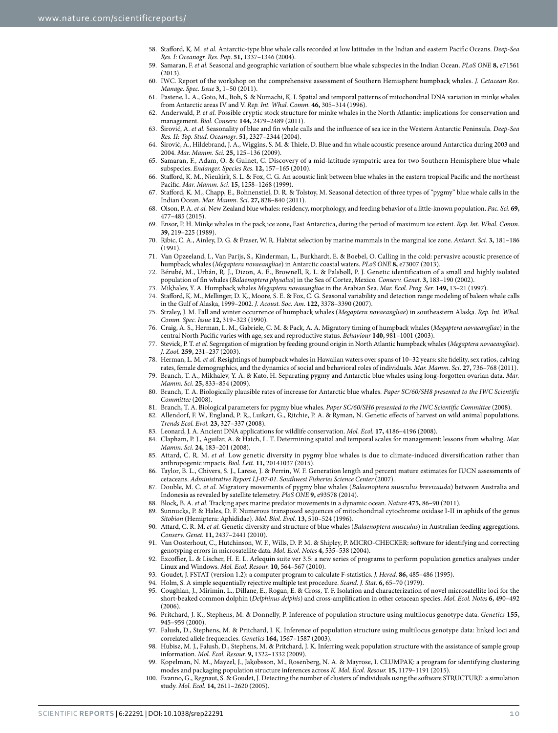- <span id="page-9-0"></span>58. Stafford, K. M. *et al.* Antarctic-type blue whale calls recorded at low latitudes in the Indian and eastern Pacific Oceans. *Deep-Sea Res. I: Oceanogr. Res. Pap*. **51,** 1337–1346 (2004).
- <span id="page-9-1"></span>59. Samaran, F. *et al.* Seasonal and geographic variation of southern blue whale subspecies in the Indian Ocean. *PLoS ONE* **8,** e71561  $(2013)$
- <span id="page-9-2"></span>60. IWC. Report of the workshop on the comprehensive assessment of Southern Hemisphere humpback whales. *J. Cetacean Res. Manage. Spec. Issue* **3,** 1–50 (2011).
- <span id="page-9-3"></span>61. Pastene, L. A., Goto, M., Itoh, S. & Numachi, K. I. Spatial and temporal patterns of mitochondrial DNA variation in minke whales from Antarctic areas IV and V. *Rep. Int. Whal. Comm.* **46,** 305–314 (1996).
- <span id="page-9-4"></span>62. Anderwald, P. *et al.* Possible cryptic stock structure for minke whales in the North Atlantic: implications for conservation and management. *Biol. Conserv.* **144,** 2479–2489 (2011).
- <span id="page-9-5"></span>63. Širović, A. *et al.* Seasonality of blue and fin whale calls and the influence of sea ice in the Western Antarctic Peninsula. *Deep-Sea Res. II: Top. Stud. Oceanogr*. **51,** 2327–2344 (2004).
- <span id="page-9-6"></span>64. Širović, A., Hildebrand, J. A., Wiggins, S. M. & Thiele, D. Blue and fin whale acoustic presence around Antarctica during 2003 and 2004. *Mar. Mamm. Sci.* **25,** 125–136 (2009).
- <span id="page-9-7"></span>65. Samaran, F., Adam, O. & Guinet, C. Discovery of a mid-latitude sympatric area for two Southern Hemisphere blue whale subspecies. *Endanger. Species Res*. **12,** 157–165 (2010).
- 66. Stafford, K. M., Nieukirk, S. L. & Fox, C. G. An acoustic link between blue whales in the eastern tropical Pacific and the northeast Pacific. *Mar. Mamm. Sci*. **15,** 1258–1268 (1999).
- 67. Stafford, K. M., Chapp, E., Bohnenstiel, D. R. & Tolstoy, M. Seasonal detection of three types of "pygmy" blue whale calls in the Indian Ocean. *Mar. Mamm. Sci*. **27,** 828–840 (2011).
- 68. Olson, P. A. *et al.* New Zealand blue whales: residency, morphology, and feeding behavior of a little-known population. *Pac. Sci.* **69,** 477–485 (2015).
- <span id="page-9-8"></span>69. Ensor, P. H. Minke whales in the pack ice zone, East Antarctica, during the period of maximum ice extent. *Rep. Int. Whal. Comm*. **39,** 219–225 (1989).
- 70. Ribic, C. A., Ainley, D. G. & Fraser, W. R. Habitat selection by marine mammals in the marginal ice zone. *Antarct. Sci.* **3,** 181–186  $(1991)$
- 71. Van Opzeeland, I., Van Parijs, S., Kinderman, L., Burkhardt, E. & Boebel, O. Calling in the cold: pervasive acoustic presence of humpback whales (*Megaptera novaeangliae*) in Antarctic coastal waters. *PLoS ONE* **8,** e73007 (2013).
- <span id="page-9-9"></span>72. Bérubé, M., Urbán, R. J., Dizon, A. E., Brownell, R. L. & Palsbøll, P. J. Genetic identification of a small and highly isolated population of fin whales (*Balaenoptera physalus*) in the Sea of Cortez, Mexico. *Conserv. Genet.* **3,** 183–190 (2002).
- <span id="page-9-10"></span>73. Mikhalev, Y. A. Humpback whales *Megaptera novaeangliae* in the Arabian Sea. *Mar. Ecol. Prog. Ser.* **149,** 13–21 (1997).
- 74. Stafford, K. M., Mellinger, D. K., Moore, S. E. & Fox, C. G. Seasonal variability and detection range modeling of baleen whale calls in the Gulf of Alaska, 1999–2002. *J. Acoust. Soc. Am.* **122,** 3378–3390 (2007).
- 75. Straley, J. M. Fall and winter occurrence of humpback whales (*Megaptera novaeangliae*) in southeastern Alaska. *Rep. Int. Whal. Comm. Spec. Issue* **12,** 319–323 (1990).
- <span id="page-9-11"></span>76. Craig, A. S., Herman, L. M., Gabriele, C. M. & Pack, A. A. Migratory timing of humpback whales (*Megaptera novaeangliae*) in the central North Pacific varies with age, sex and reproductive status. *Behaviour* **140,** 981–1001 (2003).
- <span id="page-9-12"></span>77. Stevick, P. T. *et al.* Segregation of migration by feeding ground origin in North Atlantic humpback whales (*Megaptera novaeangliae*). *J. Zool.* **259,** 231–237 (2003).
- <span id="page-9-13"></span>78. Herman, L. M. *et al.* Resightings of humpback whales in Hawaiian waters over spans of 10–32 years: site fidelity, sex ratios, calving rates, female demographics, and the dynamics of social and behavioral roles of individuals. *Mar. Mamm. Sci*. **27,** 736–768 (2011).
- <span id="page-9-14"></span>79. Branch, T. A., Mikhalev, Y. A. & Kato, H. Separating pygmy and Antarctic blue whales using long-forgotten ovarian data. *Mar. Mamm. Sci*. **25,** 833–854 (2009).
- <span id="page-9-15"></span>80. Branch, T. A. Biologically plausible rates of increase for Antarctic blue whales. *Paper SC/60/SH8 presented to the IWC Scientific Committee* (2008).
- 81. Branch, T. A. Biological parameters for pygmy blue whales. *Paper SC/60/SH6 presented to the IWC Scientific Committee* (2008).
- <span id="page-9-17"></span><span id="page-9-16"></span>82. Allendorf, F. W., England, P. R., Luikart, G., Ritchie, P. A. & Ryman, N. Genetic effects of harvest on wild animal populations. *Trends Ecol. Evol.* **23,** 327–337 (2008).
- <span id="page-9-18"></span>83. Leonard, J. A. Ancient DNA applications for wildlife conservation. *Mol. Ecol.* **17,** 4186–4196 (2008).
- <span id="page-9-19"></span>84. Clapham, P. J., Aguilar, A. & Hatch, L. T. Determining spatial and temporal scales for management: lessons from whaling. *Mar. Mamm. Sci*. **24,** 183–201 (2008).
- <span id="page-9-20"></span>85. Attard, C. R. M. *et al.* Low genetic diversity in pygmy blue whales is due to climate-induced diversification rather than anthropogenic impacts. *Biol. Lett*. **11,** 20141037 (2015).
- <span id="page-9-21"></span>86. Taylor, B. L., Chivers, S. J., Larese, J. & Perrin, W. F. Generation length and percent mature estimates for IUCN assessments of cetaceans. *Administrative Report LJ-07-01. Southwest Fisheries Science Center* (2007).
- <span id="page-9-22"></span>87. Double, M. C. *et al.* Migratory movements of pygmy blue whales (*Balaenoptera musculus brevicauda*) between Australia and Indonesia as revealed by satellite telemetry. *PloS ONE* **9,** e93578 (2014).
- <span id="page-9-23"></span>88. Block, B. A. *et al.* Tracking apex marine predator movements in a dynamic ocean. *Nature* **475,** 86–90 (2011).
- <span id="page-9-24"></span>89. Sunnucks, P. & Hales, D. F. Numerous transposed sequences of mitochondrial cytochrome oxidase I-II in aphids of the genus *Sitobion* (Hemiptera: Aphididae). *Mol. Biol. Evol.* **13,** 510–524 (1996).
- <span id="page-9-25"></span>90. Attard, C. R. M. *et al.* Genetic diversity and structure of blue whales (*Balaenoptera musculus*) in Australian feeding aggregations. *Conserv. Genet.* **11,** 2437–2441 (2010).
- <span id="page-9-26"></span>91. Van Oosterhout, C., Hutchinson, W. F., Wills, D. P. M. & Shipley, P. MICRO-CHECKER: software for identifying and correcting genotyping errors in microsatellite data. *Mol. Ecol. Notes* **4,** 535–538 (2004).
- <span id="page-9-28"></span><span id="page-9-27"></span>92. Excoffier, L. & Lischer, H. E. L. Arlequin suite ver 3.5: a new series of programs to perform population genetics analyses under Linux and Windows. *Mol. Ecol. Resour.* **10,** 564–567 (2010).
- 93. Goudet, J. FSTAT (version 1.2): a computer program to calculate F-statistics. *J. Hered.* **86,** 485–486 (1995).
- 94. Holm, S. A simple sequentially rejective multiple test procedure. *Scand. J. Stat*. **6,** 65–70 (1979).
- <span id="page-9-30"></span><span id="page-9-29"></span>95. Coughlan, J., Mirimin, L., Dillane, E., Rogan, E. & Cross, T. F. Isolation and characterization of novel microsatellite loci for the short-beaked common dolphin (*Delphinus delphis*) and cross-amplification in other cetacean species. *Mol. Ecol. Notes* **6,** 490–492  $(2006)$
- <span id="page-9-31"></span>96. Pritchard, J. K., Stephens, M. & Donnelly, P. Inference of population structure using multilocus genotype data. *Genetics* **155,** 945–959 (2000).
- <span id="page-9-32"></span>97. Falush, D., Stephens, M. & Pritchard, J. K. Inference of population structure using multilocus genotype data: linked loci and correlated allele frequencies. *Genetics* **164,** 1567–1587 (2003).
- <span id="page-9-33"></span>98. Hubisz, M. J., Falush, D., Stephens, M. & Pritchard, J. K. Inferring weak population structure with the assistance of sample group information. *Mol. Ecol. Resour.* **9,** 1322–1332 (2009).
- <span id="page-9-35"></span><span id="page-9-34"></span>99. Kopelman, N. M., Mayzel, J., Jakobsson, M., Rosenberg, N. A. & Mayrose, I. CLUMPAK: a program for identifying clustering modes and packaging population structure inferences across *K*. *Mol. Ecol. Resour.* **15,** 1179–1191 (2015).
- 100. Evanno, G., Regnaut, S. & Goudet, J. Detecting the number of clusters of individuals using the software STRUCTURE: a simulation study. *Mol. Ecol.* **14,** 2611–2620 (2005).